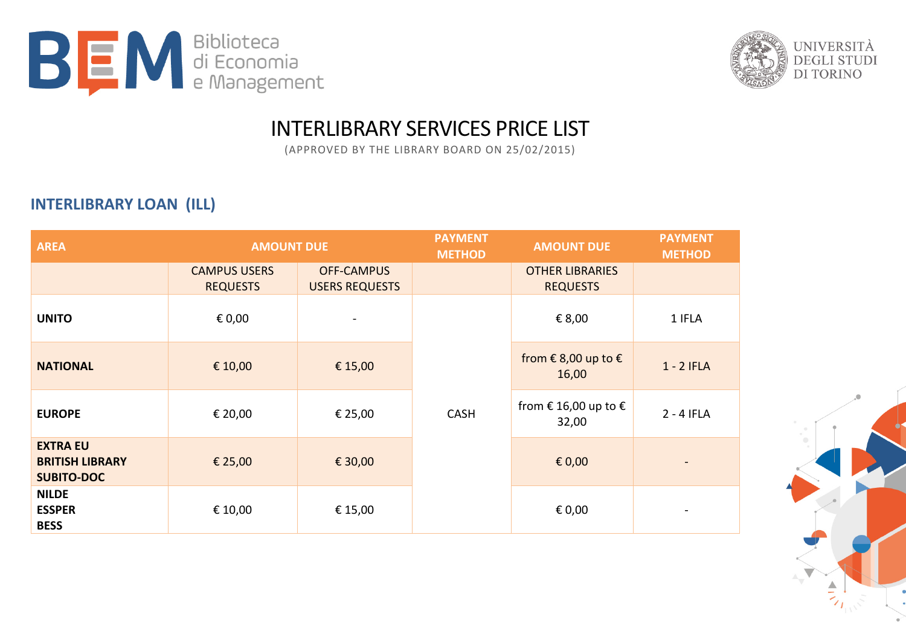



## INTERLIBRARY SERVICES PRICE LIST

(APPROVED BY THE LIBRARY BOARD ON 25/02/2015)

## **INTERLIBRARY LOAN (ILL)**

| <b>AREA</b>                                                    | <b>AMOUNT DUE</b>                      |                                            | <b>PAYMENT</b><br><b>METHOD</b> | <b>AMOUNT DUE</b>                         | <b>PAYMENT</b><br><b>METHOD</b> |
|----------------------------------------------------------------|----------------------------------------|--------------------------------------------|---------------------------------|-------------------------------------------|---------------------------------|
|                                                                | <b>CAMPUS USERS</b><br><b>REQUESTS</b> | <b>OFF-CAMPUS</b><br><b>USERS REQUESTS</b> |                                 | <b>OTHER LIBRARIES</b><br><b>REQUESTS</b> |                                 |
| <b>UNITO</b>                                                   | € 0,00                                 |                                            | <b>CASH</b>                     | € 8,00                                    | 1 IFLA                          |
| <b>NATIONAL</b>                                                | € 10,00                                | € 15,00                                    |                                 | from €8,00 up to $€$<br>16,00             | $1 - 2$ IFLA                    |
| <b>EUROPE</b>                                                  | € 20,00                                | € 25,00                                    |                                 | from € 16,00 up to $€$<br>32,00           | $2 - 4$ IFLA                    |
| <b>EXTRA EU</b><br><b>BRITISH LIBRARY</b><br><b>SUBITO-DOC</b> | € 25,00                                | € 30,00                                    |                                 | $\epsilon$ 0,00                           | $\blacksquare$                  |
| <b>NILDE</b><br><b>ESSPER</b><br><b>BESS</b>                   | € 10,00                                | € 15,00                                    |                                 | € 0,00                                    |                                 |